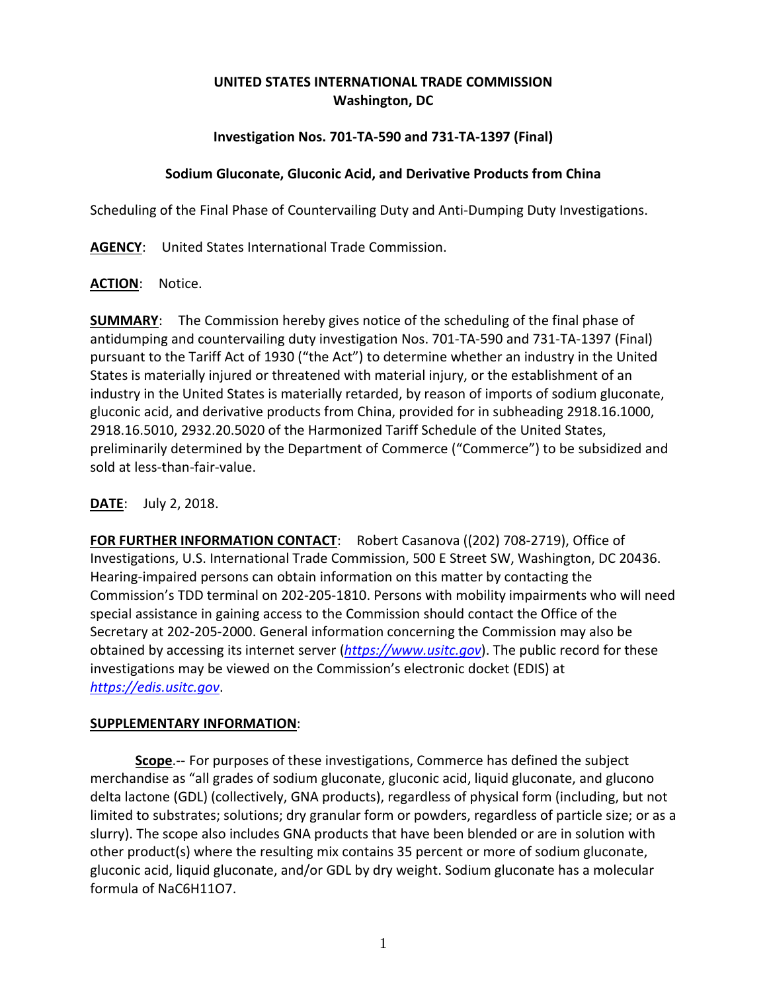# **UNITED STATES INTERNATIONAL TRADE COMMISSION Washington, DC**

# **Investigation Nos. 701-TA-590 and 731-TA-1397 (Final)**

### **Sodium Gluconate, Gluconic Acid, and Derivative Products from China**

Scheduling of the Final Phase of Countervailing Duty and Anti-Dumping Duty Investigations.

**AGENCY**: United States International Trade Commission.

### **ACTION**: Notice.

**SUMMARY**: The Commission hereby gives notice of the scheduling of the final phase of antidumping and countervailing duty investigation Nos. 701-TA-590 and 731-TA-1397 (Final) pursuant to the Tariff Act of 1930 ("the Act") to determine whether an industry in the United States is materially injured or threatened with material injury, or the establishment of an industry in the United States is materially retarded, by reason of imports of sodium gluconate, gluconic acid, and derivative products from China, provided for in subheading 2918.16.1000, 2918.16.5010, 2932.20.5020 of the Harmonized Tariff Schedule of the United States, preliminarily determined by the Department of Commerce ("Commerce") to be subsidized and sold at less-than-fair-value.

# **DATE**: July 2, 2018.

**FOR FURTHER INFORMATION CONTACT**: Robert Casanova ((202) 708-2719), Office of Investigations, U.S. International Trade Commission, 500 E Street SW, Washington, DC 20436. Hearing-impaired persons can obtain information on this matter by contacting the Commission's TDD terminal on 202-205-1810. Persons with mobility impairments who will need special assistance in gaining access to the Commission should contact the Office of the Secretary at 202-205-2000. General information concerning the Commission may also be obtained by accessing its internet server (*[https://www.usitc.gov](https://www.usitc.gov/)*). The public record for these investigations may be viewed on the Commission's electronic docket (EDIS) at *[https://edis.usitc.gov](https://edis.usitc.gov/)*.

#### **SUPPLEMENTARY INFORMATION**:

**Scope**.-- For purposes of these investigations, Commerce has defined the subject merchandise as "all grades of sodium gluconate, gluconic acid, liquid gluconate, and glucono delta lactone (GDL) (collectively, GNA products), regardless of physical form (including, but not limited to substrates; solutions; dry granular form or powders, regardless of particle size; or as a slurry). The scope also includes GNA products that have been blended or are in solution with other product(s) where the resulting mix contains 35 percent or more of sodium gluconate, gluconic acid, liquid gluconate, and/or GDL by dry weight. Sodium gluconate has a molecular formula of NaC6H11O7.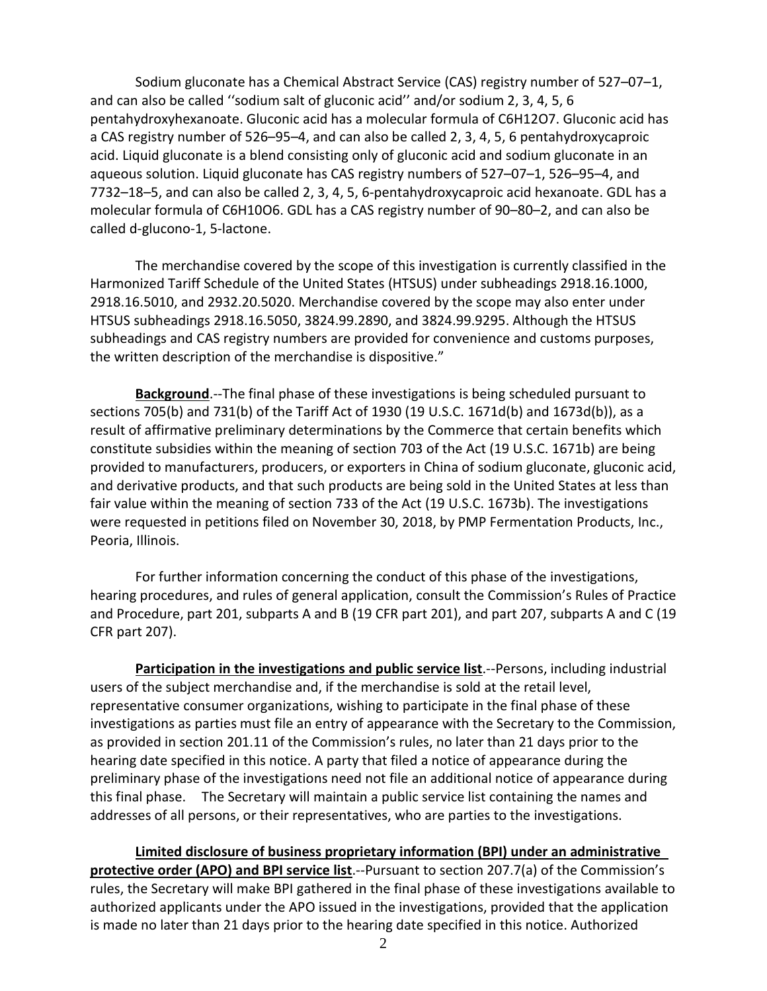Sodium gluconate has a Chemical Abstract Service (CAS) registry number of 527–07–1, and can also be called ''sodium salt of gluconic acid'' and/or sodium 2, 3, 4, 5, 6 pentahydroxyhexanoate. Gluconic acid has a molecular formula of C6H12O7. Gluconic acid has a CAS registry number of 526–95–4, and can also be called 2, 3, 4, 5, 6 pentahydroxycaproic acid. Liquid gluconate is a blend consisting only of gluconic acid and sodium gluconate in an aqueous solution. Liquid gluconate has CAS registry numbers of 527–07–1, 526–95–4, and 7732–18–5, and can also be called 2, 3, 4, 5, 6-pentahydroxycaproic acid hexanoate. GDL has a molecular formula of C6H10O6. GDL has a CAS registry number of 90–80–2, and can also be called d-glucono-1, 5-lactone.

The merchandise covered by the scope of this investigation is currently classified in the Harmonized Tariff Schedule of the United States (HTSUS) under subheadings 2918.16.1000, 2918.16.5010, and 2932.20.5020. Merchandise covered by the scope may also enter under HTSUS subheadings 2918.16.5050, 3824.99.2890, and 3824.99.9295. Although the HTSUS subheadings and CAS registry numbers are provided for convenience and customs purposes, the written description of the merchandise is dispositive."

**Background**.--The final phase of these investigations is being scheduled pursuant to sections 705(b) and 731(b) of the Tariff Act of 1930 (19 U.S.C. 1671d(b) and 1673d(b)), as a result of affirmative preliminary determinations by the Commerce that certain benefits which constitute subsidies within the meaning of section 703 of the Act (19 U.S.C. 1671b) are being provided to manufacturers, producers, or exporters in China of sodium gluconate, gluconic acid, and derivative products, and that such products are being sold in the United States at less than fair value within the meaning of section 733 of the Act (19 U.S.C. 1673b). The investigations were requested in petitions filed on November 30, 2018, by PMP Fermentation Products, Inc., Peoria, Illinois.

For further information concerning the conduct of this phase of the investigations, hearing procedures, and rules of general application, consult the Commission's Rules of Practice and Procedure, part 201, subparts A and B (19 CFR part 201), and part 207, subparts A and C (19 CFR part 207).

**Participation in the investigations and public service list**.--Persons, including industrial users of the subject merchandise and, if the merchandise is sold at the retail level, representative consumer organizations, wishing to participate in the final phase of these investigations as parties must file an entry of appearance with the Secretary to the Commission, as provided in section 201.11 of the Commission's rules, no later than 21 days prior to the hearing date specified in this notice. A party that filed a notice of appearance during the preliminary phase of the investigations need not file an additional notice of appearance during this final phase. The Secretary will maintain a public service list containing the names and addresses of all persons, or their representatives, who are parties to the investigations.

**Limited disclosure of business proprietary information (BPI) under an administrative protective order (APO) and BPI service list**.--Pursuant to section 207.7(a) of the Commission's rules, the Secretary will make BPI gathered in the final phase of these investigations available to authorized applicants under the APO issued in the investigations, provided that the application is made no later than 21 days prior to the hearing date specified in this notice. Authorized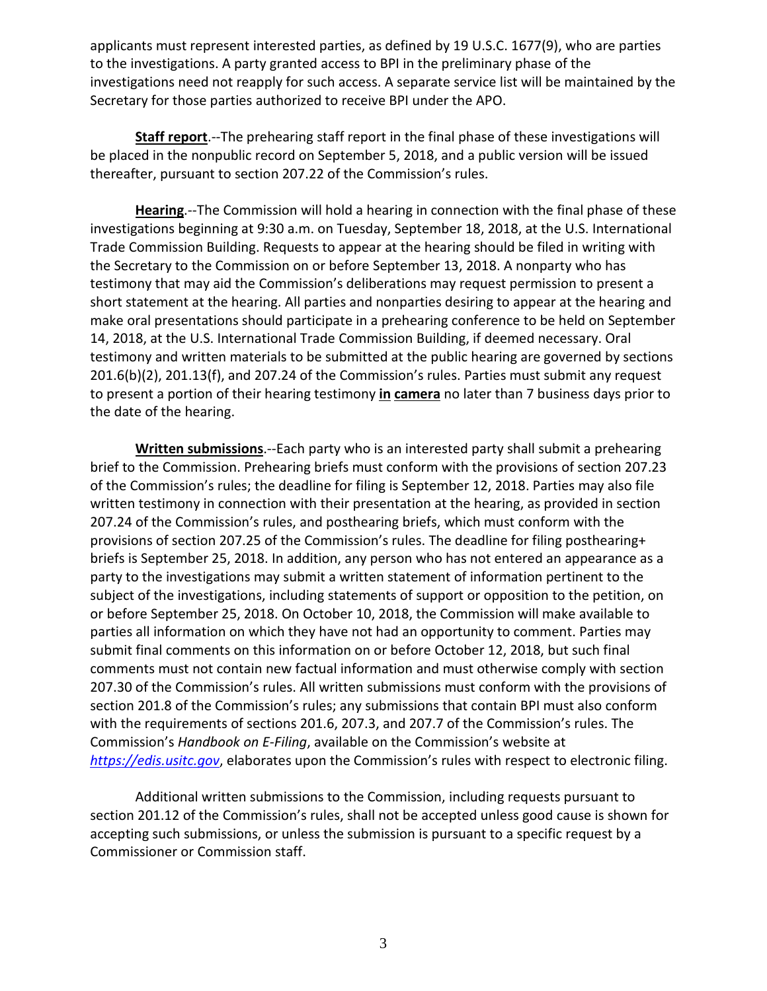applicants must represent interested parties, as defined by 19 U.S.C. 1677(9), who are parties to the investigations. A party granted access to BPI in the preliminary phase of the investigations need not reapply for such access. A separate service list will be maintained by the Secretary for those parties authorized to receive BPI under the APO.

**Staff report**.--The prehearing staff report in the final phase of these investigations will be placed in the nonpublic record on September 5, 2018, and a public version will be issued thereafter, pursuant to section 207.22 of the Commission's rules.

**Hearing**.--The Commission will hold a hearing in connection with the final phase of these investigations beginning at 9:30 a.m. on Tuesday, September 18, 2018, at the U.S. International Trade Commission Building. Requests to appear at the hearing should be filed in writing with the Secretary to the Commission on or before September 13, 2018. A nonparty who has testimony that may aid the Commission's deliberations may request permission to present a short statement at the hearing. All parties and nonparties desiring to appear at the hearing and make oral presentations should participate in a prehearing conference to be held on September 14, 2018, at the U.S. International Trade Commission Building, if deemed necessary. Oral testimony and written materials to be submitted at the public hearing are governed by sections 201.6(b)(2), 201.13(f), and 207.24 of the Commission's rules. Parties must submit any request to present a portion of their hearing testimony **in camera** no later than 7 business days prior to the date of the hearing.

**Written submissions**.--Each party who is an interested party shall submit a prehearing brief to the Commission. Prehearing briefs must conform with the provisions of section 207.23 of the Commission's rules; the deadline for filing is September 12, 2018. Parties may also file written testimony in connection with their presentation at the hearing, as provided in section 207.24 of the Commission's rules, and posthearing briefs, which must conform with the provisions of section 207.25 of the Commission's rules. The deadline for filing posthearing+ briefs is September 25, 2018. In addition, any person who has not entered an appearance as a party to the investigations may submit a written statement of information pertinent to the subject of the investigations, including statements of support or opposition to the petition, on or before September 25, 2018. On October 10, 2018, the Commission will make available to parties all information on which they have not had an opportunity to comment. Parties may submit final comments on this information on or before October 12, 2018, but such final comments must not contain new factual information and must otherwise comply with section 207.30 of the Commission's rules. All written submissions must conform with the provisions of section 201.8 of the Commission's rules; any submissions that contain BPI must also conform with the requirements of sections 201.6, 207.3, and 207.7 of the Commission's rules. The Commission's *Handbook on E-Filing*, available on the Commission's website at *[https://edis.usitc.gov](https://edis.usitc.gov/)*, elaborates upon the Commission's rules with respect to electronic filing.

Additional written submissions to the Commission, including requests pursuant to section 201.12 of the Commission's rules, shall not be accepted unless good cause is shown for accepting such submissions, or unless the submission is pursuant to a specific request by a Commissioner or Commission staff.